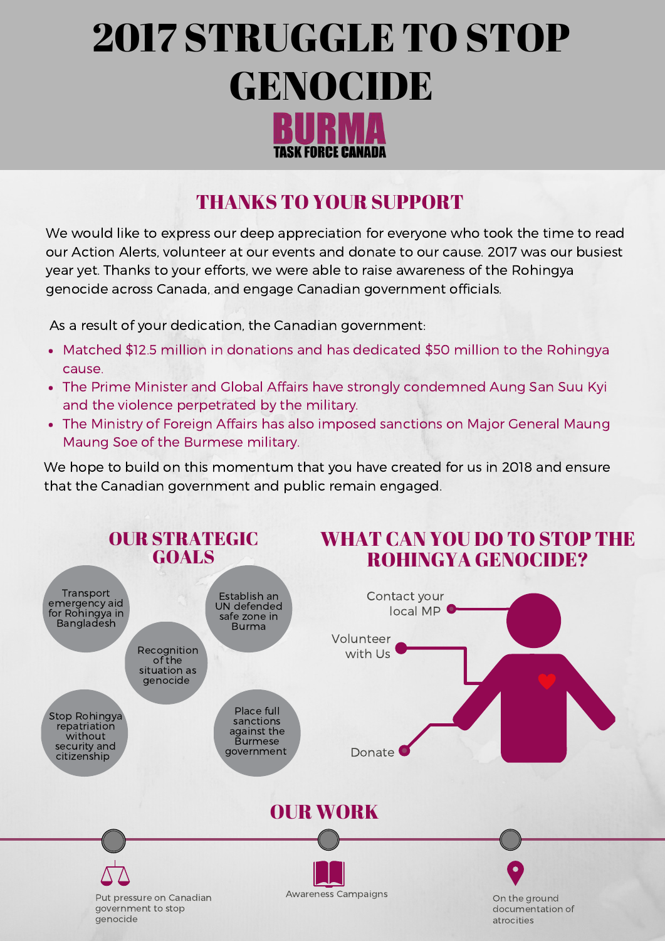# 2017 STRUGGLE TO STOP **GENOCIDE** TASK FORCE CANADA

#### THANKS TO YOUR SUPPORT

We would like to express our deep appreciation for everyone who took the time to read our Action Alerts, volunteer at our events and donate to our cause. 2017 was our busiest year yet. Thanks to your efforts, we were able to raise awareness of the Rohingya genocide across Canada, and engage Canadian government officials.

As a result of your dedication, the Canadian [government:](http://www.cbc.ca/news/canada/toronto/canada-rohingya-ethnic-cleansing-1.4293564)

- Matched \$12.5 million in donations and has dedicated \$50 million to the Rohingya cause.
- The Prime Minister and Global Affairs have strongly [condemned](http://www.cbc.ca/news/canada/toronto/canada-rohingya-ethnic-cleansing-1.4293564) Aung San Suu Kyi and the violence perpetrated by the military.
- The Ministry of Foreign Affairs has also imposed sanctions on Major General Maung Maung Soe of the Burmese military.

We hope to build on this momentum that you have created for us in 2018 and ensure that the Canadian [government](http://www.cbc.ca/news/canada/toronto/canada-rohingya-ethnic-cleansing-1.4293564) and public remain engaged.

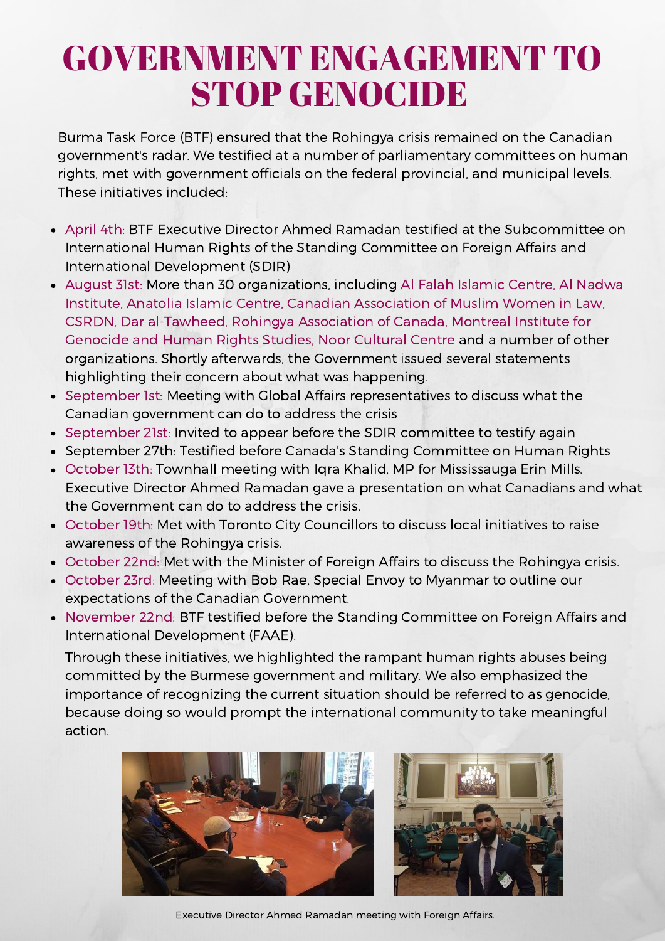### GOVERNMENT ENGAGEMENT TO STOP GENOCIDE

Burma Task Force (BTF) ensured that the Rohingya crisis remained on the Canadian government's radar. We testified at a number of [parliamentary](http://www.cbc.ca/news/canada/toronto/canada-rohingya-ethnic-cleansing-1.4293564) committees on human rights, met with government officials on the federal provincial, and municipal levels. These initiatives included:

- April 4th: BTF Executive Director Ahmed Ramadan testified at the Subcommittee on International Human Rights of the Standing Committee on Foreign Affairs and International Development (SDIR)
- August 31st: More than 30 organizations, including Al Falah Islamic Centre, Al Nadwa Institute, Anatolia Islamic Centre, Canadian Association of Muslim Women in Law, CSRDN, Dar al-Tawheed, Rohingya Association of Canada, Montreal Institute for Genocide and Human Rights Studies, Noor Cultural Centre and a number of other organizations. Shortly afterwards, the Government issued several statements highlighting their concern about what was happening.
- September 1st: Meeting with Global Affairs representatives to discuss what the Canadian government can do to address the crisis
- September 21st: Invited to appear before the SDIR committee to testify again
- September 27th: Testified before Canada's Standing Committee on Human Rights
- October 13th: Townhall meeting with Iqra Khalid, MP for Mississauga Erin Mills. Executive Director Ahmed Ramadan gave a presentation on what Canadians and what the Government can do to address the crisis.
- October 19th: Met with Toronto City Councillors to discuss local initiatives to raise awareness of the Rohingya crisis.
- October 22nd: Met with the Minister of Foreign Affairs to discuss the Rohingya crisis.
- October 23rd: Meeting with Bob Rae, Special Envoy to Myanmar to outline our expectations of the Canadian Government.
- November 22nd: BTF testified before the Standing Committee on Foreign Affairs and International Development (FAAE).

Through these initiatives, we highlighted the rampant human rights abuses being committed by the Burmese government and military. We also emphasized the importance of recognizing the current situation should be referred to as genocide, because doing so would prompt the international community to take meaningful action.



Executive Director Ahmed Ramadan meeting with Foreign Affairs.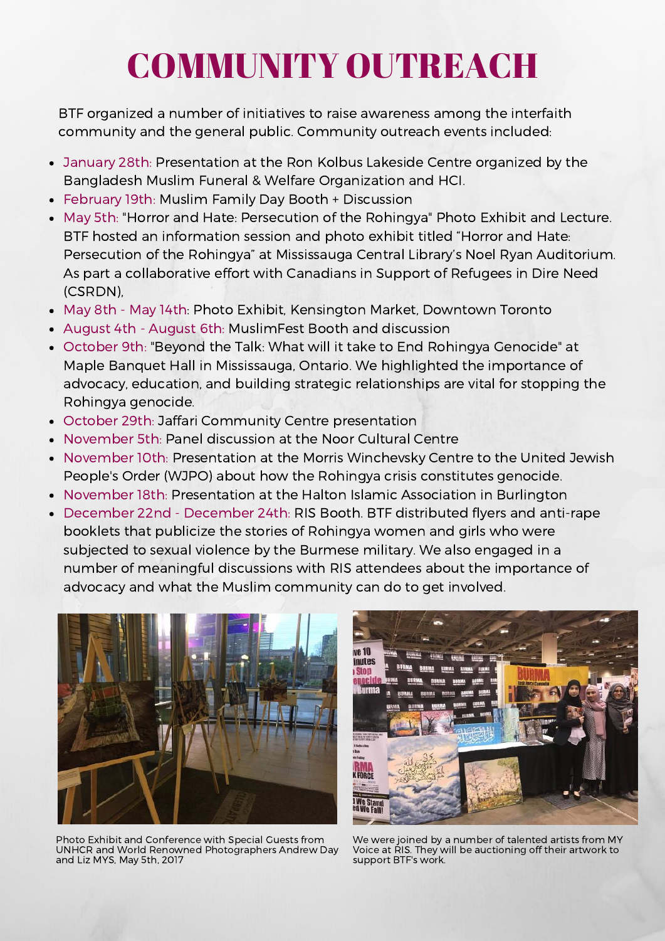### COMMUNITY OUTREACH

BTF organized a number of initiatives to raise awareness among the interfaith community and the general public. [Community](http://www.cbc.ca/news/canada/toronto/canada-rohingya-ethnic-cleansing-1.4293564) outreach events included:

- January 28th: Presentation at the Ron Kolbus Lakeside Centre organized by the  $\bullet$ Bangladesh Muslim Funeral & Welfare Organization and HCI.
- February 19th: Muslim Family Day Booth + Discussion
- May 5th: "Horror and Hate: Persecution of the Rohingya" Photo Exhibit and Lecture.  $\bullet$ BTF hosted an information session and photo exhibit titled "Horror and Hate: Persecution of the Rohingya" at Mississauga Central Library's Noel Ryan Auditorium. As part a collaborative effort with Canadians in Support of Refugees in Dire Need (CSRDN),
- May 8th May 14th: Photo Exhibit, Kensington Market, Downtown Toronto
- August 4th August 6th: MuslimFest Booth and discussion
- October 9th: "Beyond the Talk: What will it take to End Rohingya Genocide" at Maple Banquet Hall in Mississauga, Ontario. We highlighted the importance of advocacy, education, and building strategic relationships are vital for stopping the Rohingya genocide.
- October 29th: Jaffari Community Centre presentation  $\bullet$
- November 5th: Panel discussion at the Noor Cultural Centre  $\bullet$
- November 10th: Presentation at the Morris Winchevsky Centre to the United Jewish People's Order (WJPO) about how the Rohingya crisis constitutes genocide.
- November 18th: Presentation at the Halton Islamic Association in Burlington  $\bullet$
- December 22nd December 24th: RIS Booth. BTF distributed flyers and anti-rape booklets that publicize the stories of Rohingya women and girls who were subjected to sexual violence by the Burmese military. We also engaged in a number of meaningful discussions with RIS attendees about the importance of advocacy and what the Muslim community can do to get involved.



Photo Exhibit and Conference with Special Guests from UNHCR and World Renowned Photographers Andrew Day and Liz MYS, May 5th, 2017



We were joined by a number of talented artists from MY Voice at RIS. They will be auctioning off their artwork to support BTF's work.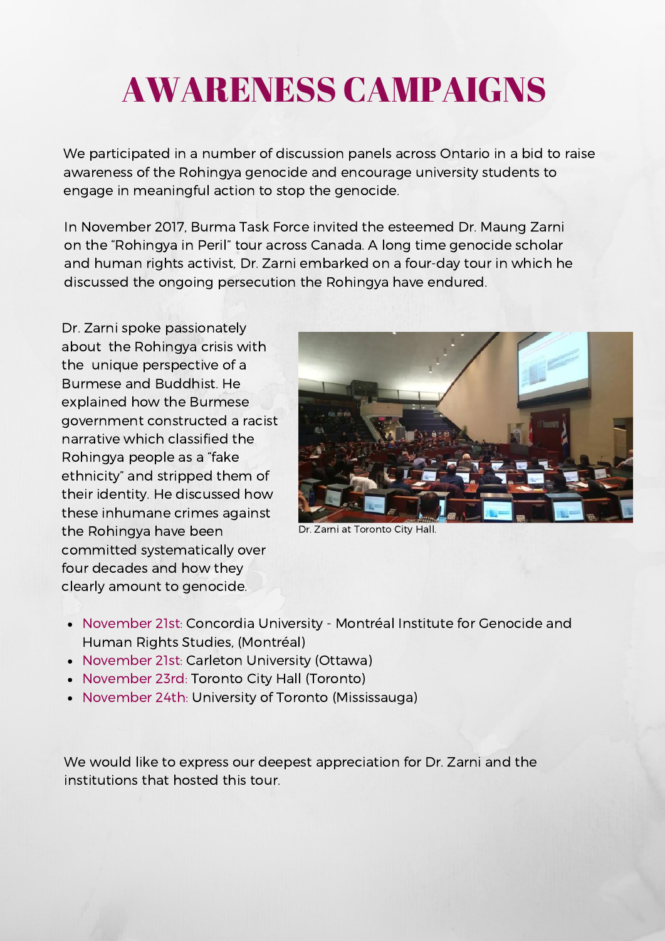## AWARENESS CAMPAIGNS

We participated in a number of discussion panels across Ontario in a bid to raise awareness of the Rohingya genocide and encourage university students to engage in meaningful action to stop the genocide.

In November 2017, Burma Task Force invited the esteemed Dr. Maung Zarni on the "Rohingya in Peril" tour across Canada. A long time genocide scholar and human rights activist, Dr. Zarni embarked on a four-day tour in which he discussed the ongoing persecution the Rohingya have endured.

Dr. Zarni spoke passionately about the Rohingya crisis with the unique perspective of a Burmese and Buddhist. He explained how the Burmese government constructed a racist narrative which classified the Rohingya people as a "fake ethnicity" and stripped them of their identity. He discussed how these inhumane crimes against the Rohingya have been committed systematically over four decades and how they clearly amount to genocide.



Dr. Zarni at Toronto City Hall.

- November 21st: Concordia University Montréal Institute for Genocide and Human Rights Studies, (Montréal)
- November 21st: Carleton University (Ottawa)
- November 23rd: Toronto City Hall (Toronto)
- November 24th: University of Toronto (Mississauga)

We would like to express our deepest appreciation for Dr. Zarni and the institutions that hosted this tour.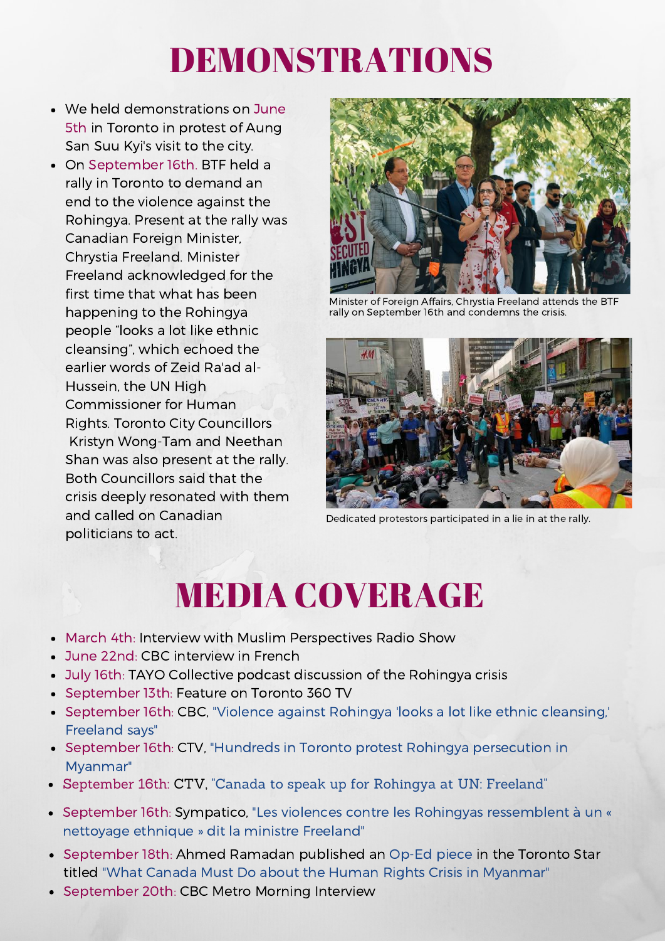# DEMONSTRATIONS

- We held demonstrations on June 5th in Toronto in protest of Aung San Suu Kyi's visit to the city.
- On September 16th. BTF held a rally in Toronto to demand an end to the violence against the Rohingya. Present at the rally was Canadian Foreign Minister, Chrystia Freeland. Minister Freeland acknowledged for the first time that what has been happening to the Rohingya people "looks a lot like ethnic cleansing", which echoed the earlier words of Zeid Ra'ad al-Hussein, the UN High Commissioner for Human Rights. Toronto City Councillors Kristyn Wong-Tam and Neethan Shan was also present at the rally. Both Councillors said that the crisis deeply resonated with them and called on Canadian politicians to act.



Minister of Foreign Affairs, Chrystia Freeland attends the BTF rally on September 16th and condemns the crisis.



Dedicated protestors participated in a lie in at the rally.

### MEDIA COVERAGE

- March 4th: Interview with Muslim [Perspectives](http://www.cbc.ca/news/canada/toronto/canada-rohingya-ethnic-cleansing-1.4293564) Radio Show
- June 22nd: CBC interview in French
- July 16th: TAYO Collective podcast discussion of the Rohingya crisis
- September 13th: Feature on Toronto 360 TV
- September 16th: CBC, "Violence against Rohingya 'looks a lot like ethnic cleansing,' Freeland says"
- September 16th: CTV, ["Hundreds](https://www.ctvnews.ca/canada/hundreds-in-toronto-protest-rohingya-persecution-in-myanmar-1.3593061) in Toronto protest Rohingya persecution in Myanmar"
- [September](https://www.ctvnews.ca/canada/canada-to-speak-up-for-rohingya-at-un-freeland-1.3592855) 16th: CTV, "Canada to speak up for Rohingya at UN: Freeland"
- September 16th: [Sympatico,](http://www.sympatico.ca/actualites/nouvelles/grands-titres/les-violences-contre-les-rohingyas-ressemblent-a-un-nettoyage-ethnique-dit-la-ministre-freeland-1.3292143) "Les violences contre les Rohingyas ressemblent à un « nettoyage ethnique » dit la ministre Freeland"
- September 18th: Ahmed Ramadan published an Op-Ed piece in the Toronto Star  $\bullet$ titled "What Canada Must Do about the Human Rights Crisis in [Myanmar"](https://www.thestar.com/opinion/commentary/2017/09/18/what-canada-must-do-to-about-the-human-rights-crisis-in-burma.html)
- September 20th: CBC Metro Morning Interview